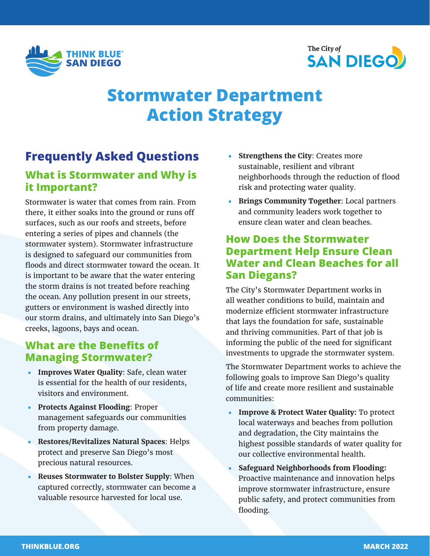



# **Stormwater Department Action Strategy**

### **Frequently Asked Questions**

#### **What is Stormwater and Why is it Important?**

Stormwater is water that comes from rain. From there, it either soaks into the ground or runs off surfaces, such as our roofs and streets, before entering a series of pipes and channels (the stormwater system). Stormwater infrastructure is designed to safeguard our communities from floods and direct stormwater toward the ocean. It is important to be aware that the water entering the storm drains is not treated before reaching the ocean. Any pollution present in our streets, gutters or environment is washed directly into our storm drains, and ultimately into San Diego's creeks, lagoons, bays and ocean.

#### **What are the Benefits of Managing Stormwater?**

- **Improves Water Quality**: Safe, clean water is essential for the health of our residents, visitors and environment.
- **Protects Against Flooding**: Proper management safeguards our communities from property damage.
- **Restores/Revitalizes Natural Spaces**: Helps protect and preserve San Diego's most precious natural resources.
- **Reuses Stormwater to Bolster Supply**: When captured correctly, stormwater can become a valuable resource harvested for local use.
- **Strengthens the City**: Creates more sustainable, resilient and vibrant neighborhoods through the reduction of flood risk and protecting water quality.
- **Brings Community Together**: Local partners and community leaders work together to ensure clean water and clean beaches.

#### **How Does the Stormwater Department Help Ensure Clean Water and Clean Beaches for all San Diegans?**

The City's Stormwater Department works in all weather conditions to build, maintain and modernize efficient stormwater infrastructure that lays the foundation for safe, sustainable and thriving communities. Part of that job is informing the public of the need for significant investments to upgrade the stormwater system.

The Stormwater Department works to achieve the following goals to improve San Diego's quality of life and create more resilient and sustainable communities:

- **Improve & Protect Water Quality:** To protect local waterways and beaches from pollution and degradation, the City maintains the highest possible standards of water quality for our collective environmental health.
- **Safeguard Neighborhoods from Flooding:**  Proactive maintenance and innovation helps improve stormwater infrastructure, ensure public safety, and protect communities from flooding.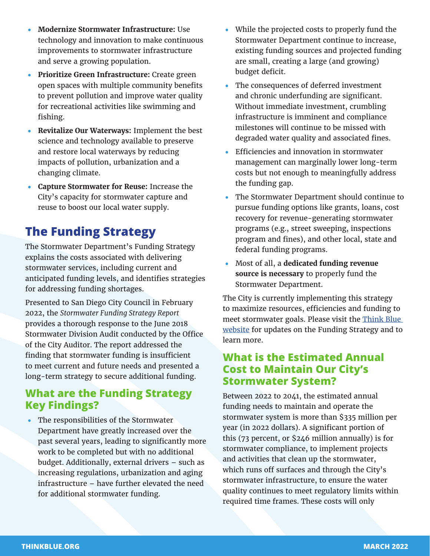- **Modernize Stormwater Infrastructure:** Use technology and innovation to make continuous improvements to stormwater infrastructure and serve a growing population.
- **Prioritize Green Infrastructure:** Create green open spaces with multiple community benefits to prevent pollution and improve water quality for recreational activities like swimming and fishing.
- **Revitalize Our Waterways:** Implement the best science and technology available to preserve and restore local waterways by reducing impacts of pollution, urbanization and a changing climate.
- **Capture Stormwater for Reuse:** Increase the City's capacity for stormwater capture and reuse to boost our local water supply.

## **The Funding Strategy**

The Stormwater Department's Funding Strategy explains the costs associated with delivering stormwater services, including current and anticipated funding levels, and identifies strategies for addressing funding shortages.

Presented to San Diego City Council in February 2022, the *Stormwater Funding Strategy Report* provides a thorough response to the June 2018 Stormwater Division Audit conducted by the Office of the City Auditor. The report addressed the finding that stormwater funding is insufficient to meet current and future needs and presented a long-term strategy to secure additional funding.

#### **What are the Funding Strategy Key Findings?**

• The responsibilities of the Stormwater Department have greatly increased over the past several years, leading to significantly more work to be completed but with no additional budget. Additionally, external drivers – such as increasing regulations, urbanization and aging infrastructure – have further elevated the need for additional stormwater funding.

- While the projected costs to properly fund the Stormwater Department continue to increase, existing funding sources and projected funding are small, creating a large (and growing) budget deficit.
- The consequences of deferred investment and chronic underfunding are significant. Without immediate investment, crumbling infrastructure is imminent and compliance milestones will continue to be missed with degraded water quality and associated fines.
- Efficiencies and innovation in stormwater management can marginally lower long-term costs but not enough to meaningfully address the funding gap.
- The Stormwater Department should continue to pursue funding options like grants, loans, cost recovery for revenue-generating stormwater programs (e.g., street sweeping, inspections program and fines), and other local, state and federal funding programs.
- Most of all, a **dedicated funding revenue source is necessary** to properly fund the Stormwater Department.

The City is currently implementing this strategy to maximize resources, efficiencies and funding to meet stormwater goals. Please visit the Think Blue [website](https://www.sandiego.gov/think-blue/action-strategy) for updates on the Funding Strategy and to learn more.

#### **What is the Estimated Annual Cost to Maintain Our City's Stormwater System?**

Between 2022 to 2041, the estimated annual funding needs to maintain and operate the stormwater system is more than \$335 million per year (in 2022 dollars). A significant portion of this (73 percent, or \$246 million annually) is for stormwater compliance, to implement projects and activities that clean up the stormwater, which runs off surfaces and through the City's stormwater infrastructure, to ensure the water quality continues to meet regulatory limits within required time frames. These costs will only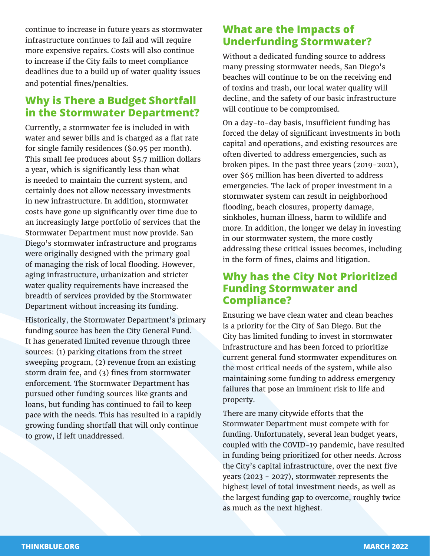continue to increase in future years as stormwater infrastructure continues to fail and will require more expensive repairs. Costs will also continue to increase if the City fails to meet compliance deadlines due to a build up of water quality issues and potential fines/penalties.

#### **Why is There a Budget Shortfall in the Stormwater Department?**

Currently, a stormwater fee is included in with water and sewer bills and is charged as a flat rate for single family residences (\$0.95 per month). This small fee produces about \$5.7 million dollars a year, which is significantly less than what is needed to maintain the current system, and certainly does not allow necessary investments in new infrastructure. In addition, stormwater costs have gone up significantly over time due to an increasingly large portfolio of services that the Stormwater Department must now provide. San Diego's stormwater infrastructure and programs were originally designed with the primary goal of managing the risk of local flooding. However, aging infrastructure, urbanization and stricter water quality requirements have increased the breadth of services provided by the Stormwater Department without increasing its funding.

Historically, the Stormwater Department's primary funding source has been the City General Fund. It has generated limited revenue through three sources: (1) parking citations from the street sweeping program, (2) revenue from an existing storm drain fee, and (3) fines from stormwater enforcement. The Stormwater Department has pursued other funding sources like grants and loans, but funding has continued to fail to keep pace with the needs. This has resulted in a rapidly growing funding shortfall that will only continue to grow, if left unaddressed.

#### **What are the Impacts of Underfunding Stormwater?**

Without a dedicated funding source to address many pressing stormwater needs, San Diego's beaches will continue to be on the receiving end of toxins and trash, our local water quality will decline, and the safety of our basic infrastructure will continue to be compromised.

On a day-to-day basis, insufficient funding has forced the delay of significant investments in both capital and operations, and existing resources are often diverted to address emergencies, such as broken pipes. In the past three years (2019-2021), over \$65 million has been diverted to address emergencies. The lack of proper investment in a stormwater system can result in neighborhood flooding, beach closures, property damage, sinkholes, human illness, harm to wildlife and more. In addition, the longer we delay in investing in our stormwater system, the more costly addressing these critical issues becomes, including in the form of fines, claims and litigation.

#### **Why has the City Not Prioritized Funding Stormwater and Compliance?**

Ensuring we have clean water and clean beaches is a priority for the City of San Diego. But the City has limited funding to invest in stormwater infrastructure and has been forced to prioritize current general fund stormwater expenditures on the most critical needs of the system, while also maintaining some funding to address emergency failures that pose an imminent risk to life and property.

There are many citywide efforts that the Stormwater Department must compete with for funding. Unfortunately, several lean budget years, coupled with the COVID-19 pandemic, have resulted in funding being prioritized for other needs. Across the City's capital infrastructure, over the next five years (2023 - 2027), stormwater represents the highest level of total investment needs, as well as the largest funding gap to overcome, roughly twice as much as the next highest.